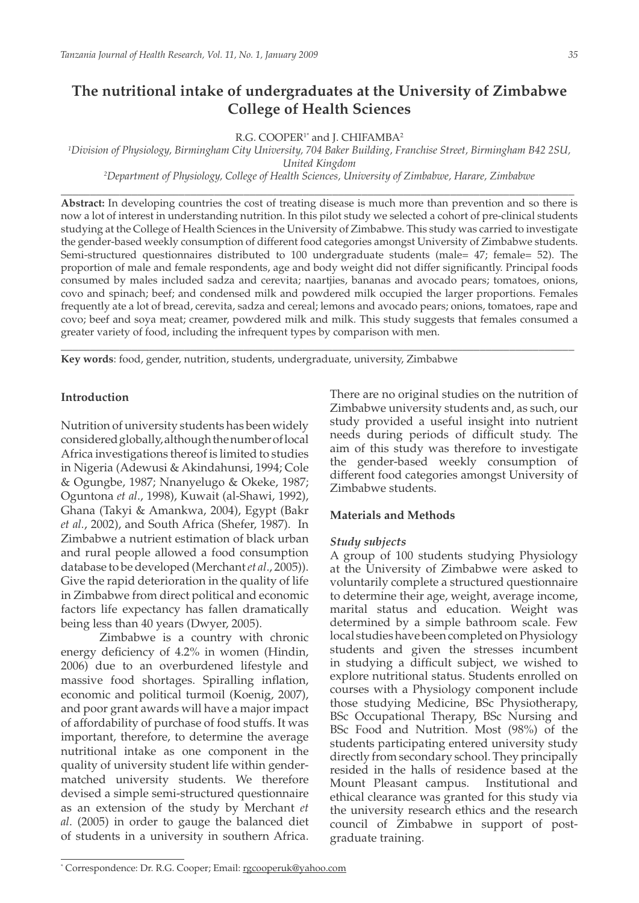# **The nutritional intake of undergraduates at the University of Zimbabwe College of Health Sciences**

R.G. COOPER<sup>1\*</sup> and J. CHIFAMBA<sup>2</sup>

*1 Division of Physiology, Birmingham City University, 704 Baker Building, Franchise Street, Birmingham B42 2SU, United Kingdom*

*2 Department of Physiology, College of Health Sciences, University of Zimbabwe, Harare, Zimbabwe* \_\_\_\_\_\_\_\_\_\_\_\_\_\_\_\_\_\_\_\_\_\_\_\_\_\_\_\_\_\_\_\_\_\_\_\_\_\_\_\_\_\_\_\_\_\_\_\_\_\_\_\_\_\_\_\_\_\_\_\_\_\_\_\_\_\_\_\_\_\_\_\_\_\_\_\_\_\_\_\_\_\_\_\_\_\_\_

**Abstract:** In developing countries the cost of treating disease is much more than prevention and so there is now a lot of interest in understanding nutrition. In this pilot study we selected a cohort of pre-clinical students studying at the College of Health Sciences in the University of Zimbabwe. This study was carried to investigate the gender-based weekly consumption of different food categories amongst University of Zimbabwe students. Semi-structured questionnaires distributed to 100 undergraduate students (male= 47; female= 52). The proportion of male and female respondents, age and body weight did not differ significantly. Principal foods consumed by males included sadza and cerevita; naartjies, bananas and avocado pears; tomatoes, onions, covo and spinach; beef; and condensed milk and powdered milk occupied the larger proportions. Females frequently ate a lot of bread, cerevita, sadza and cereal; lemons and avocado pears; onions, tomatoes, rape and covo; beef and soya meat; creamer, powdered milk and milk. This study suggests that females consumed a greater variety of food, including the infrequent types by comparison with men.

\_\_\_\_\_\_\_\_\_\_\_\_\_\_\_\_\_\_\_\_\_\_\_\_\_\_\_\_\_\_\_\_\_\_\_\_\_\_\_\_\_\_\_\_\_\_\_\_\_\_\_\_\_\_\_\_\_\_\_\_\_\_\_\_\_\_\_\_\_\_\_\_\_\_\_\_\_\_\_\_\_\_\_\_\_\_\_

**Key words**: food, gender, nutrition, students, undergraduate, university, Zimbabwe

## **Introduction**

Nutrition of university students has been widely considered globally, although the number of local Africa investigations thereof is limited to studies in Nigeria (Adewusi & Akindahunsi, 1994; Cole & Ogungbe, 1987; Nnanyelugo & Okeke, 1987; Oguntona *et al*., 1998), Kuwait (al-Shawi, 1992), Ghana (Takyi & Amankwa, 2004), Egypt (Bakr *et al.*, 2002), and South Africa (Shefer, 1987). In Zimbabwe a nutrient estimation of black urban and rural people allowed a food consumption database to be developed (Merchant *et al*., 2005)). Give the rapid deterioration in the quality of life in Zimbabwe from direct political and economic factors life expectancy has fallen dramatically being less than 40 years (Dwyer, 2005).

Zimbabwe is a country with chronic energy deficiency of 4.2% in women (Hindin, 2006) due to an overburdened lifestyle and massive food shortages. Spiralling inflation, economic and political turmoil (Koenig, 2007), and poor grant awards will have a major impact of affordability of purchase of food stuffs. It was important, therefore, to determine the average nutritional intake as one component in the quality of university student life within gendermatched university students. We therefore devised a simple semi-structured questionnaire as an extension of the study by Merchant *et al*. (2005) in order to gauge the balanced diet of students in a university in southern Africa.

There are no original studies on the nutrition of Zimbabwe university students and, as such, our study provided a useful insight into nutrient needs during periods of difficult study. The aim of this study was therefore to investigate the gender-based weekly consumption of different food categories amongst University of Zimbabwe students.

## **Materials and Methods**

#### *Study subjects*

A group of 100 students studying Physiology at the University of Zimbabwe were asked to voluntarily complete a structured questionnaire to determine their age, weight, average income, marital status and education. Weight was determined by a simple bathroom scale. Few local studies have been completed on Physiology students and given the stresses incumbent in studying a difficult subject, we wished to explore nutritional status. Students enrolled on courses with a Physiology component include those studying Medicine, BSc Physiotherapy, BSc Occupational Therapy, BSc Nursing and BSc Food and Nutrition. Most (98%) of the students participating entered university study directly from secondary school. They principally resided in the halls of residence based at the Mount Pleasant campus. Institutional and ethical clearance was granted for this study via the university research ethics and the research council of Zimbabwe in support of postgraduate training.

<sup>\*</sup> Correspondence: Dr. R.G. Cooper; Email: rgcooperuk@yahoo.com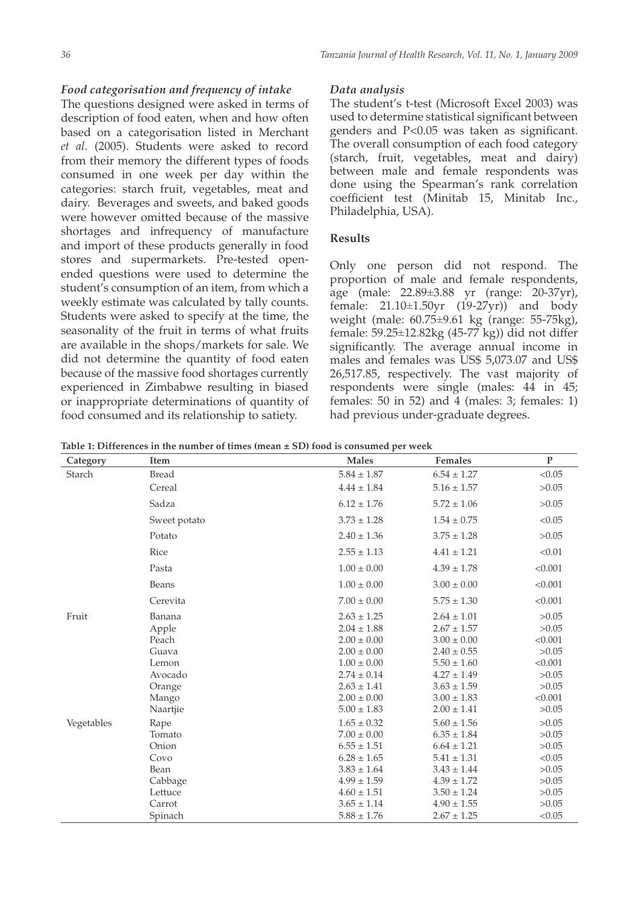## *Food categorisation and frequency of intake*

The questions designed were asked in terms of description of food eaten, when and how often based on a categorisation listed in Merchant *et al*. (2005). Students were asked to record from their memory the different types of foods consumed in one week per day within the categories: starch fruit, vegetables, meat and dairy. Beverages and sweets, and baked goods were however omitted because of the massive shortages and infrequency of manufacture and import of these products generally in food stores and supermarkets. Pre-tested openended questions were used to determine the student's consumption of an item, from which a weekly estimate was calculated by tally counts. Students were asked to specify at the time, the seasonality of the fruit in terms of what fruits are available in the shops/markets for sale. We did not determine the quantity of food eaten because of the massive food shortages currently experienced in Zimbabwe resulting in biased or inappropriate determinations of quantity of food consumed and its relationship to satiety.

#### *Data analysis*

The student's t-test (Microsoft Excel 2003) was used to determine statistical significant between genders and P<0.05 was taken as significant. The overall consumption of each food category (starch, fruit, vegetables, meat and dairy) between male and female respondents was done using the Spearman's rank correlation coefficient test (Minitab 15, Minitab Inc., Philadelphia, USA).

## **Results**

Only one person did not respond. The proportion of male and female respondents, age (male: 22.89±3.88 yr (range: 20-37yr), female: 21.10±1.50yr (19-27yr)) and body weight (male: 60.75±9.61 kg (range: 55-75kg), female: 59.25±12.82kg (45-77 kg)) did not differ significantly. The average annual income in males and females was US\$ 5,073.07 and US\$ 26,517.85, respectively. The vast majority of respondents were single (males: 44 in 45; females: 50 in 52) and 4 (males: 3; females: 1) had previous under-graduate degrees.

**Table 1: Differences in the number of times (mean ± SD) food is consumed per week** 

| Category      | <b>Item</b>  | <b>Males</b>    | <b>Females</b>  | ${\bf P}$ |
|---------------|--------------|-----------------|-----------------|-----------|
| <b>Starch</b> | <b>Bread</b> | $5.84 \pm 1.87$ | $6.54 \pm 1.27$ | < 0.05    |
|               | Cereal       | $4.44 \pm 1.84$ | $5.16 \pm 1.57$ | >0.05     |
|               | Sadza        | $6.12 \pm 1.76$ | $5.72 \pm 1.06$ | >0.05     |
|               | Sweet potato | $3.73 \pm 1.28$ | $1.54 \pm 0.75$ | < 0.05    |
|               | Potato       | $2.40 \pm 1.36$ | $3.75 \pm 1.28$ | >0.05     |
|               | Rice         | $2.55 \pm 1.13$ | $4.41 \pm 1.21$ | < 0.01    |
|               | Pasta        | $1.00 \pm 0.00$ | $4.39 \pm 1.78$ | < 0.001   |
|               | Beans        | $1.00 \pm 0.00$ | $3.00 \pm 0.00$ | < 0.001   |
|               | Cerevita     | $7.00 \pm 0.00$ | $5.75 \pm 1.30$ | < 0.001   |
| Fruit         | Banana       | $2.63 \pm 1.25$ | $2.64 \pm 1.01$ | >0.05     |
|               | Apple        | $2.04 \pm 1.88$ | $2.67 \pm 1.57$ | >0.05     |
|               | Peach        | $2.00 \pm 0.00$ | $3.00 \pm 0.00$ | < 0.001   |
|               | Guava        | $2.00 \pm 0.00$ | $2.40 \pm 0.55$ | >0.05     |
|               | Lemon        | $1.00 \pm 0.00$ | $5.50 \pm 1.60$ | < 0.001   |
|               | Avocado      | $2.74 \pm 0.14$ | $4.27 \pm 1.49$ | >0.05     |
|               | Orange       | $2.63 \pm 1.41$ | $3.63 \pm 1.59$ | >0.05     |
|               | Mango        | $2.00 \pm 0.00$ | $3.00 \pm 1.83$ | < 0.001   |
|               | Naartjie     | $5.00 \pm 1.83$ | $2.00 \pm 1.41$ | >0.05     |
| Vegetables    | Rape         | $1.65 \pm 0.32$ | $5.60 \pm 1.56$ | >0.05     |
|               | Tomato       | $7.00 \pm 0.00$ | $6.35 \pm 1.84$ | >0.05     |
|               | Onion        | $6.55 \pm 1.51$ | $6.64 \pm 1.21$ | >0.05     |
|               | Covo         | $6.28 \pm 1.65$ | $5.41 \pm 1.31$ | < 0.05    |
|               | Bean         | $3.83 \pm 1.64$ | $3.43 \pm 1.44$ | >0.05     |
|               | Cabbage      | $4.99 \pm 1.59$ | $4.39 \pm 1.72$ | >0.05     |
|               | Lettuce      | $4.60 \pm 1.51$ | $3.50 \pm 1.24$ | >0.05     |
|               | Carrot       | $3.65 \pm 1.14$ | $4.90 \pm 1.55$ | >0.05     |
|               | Spinach      | $5.88 \pm 1.76$ | $2.67 \pm 1.25$ | < 0.05    |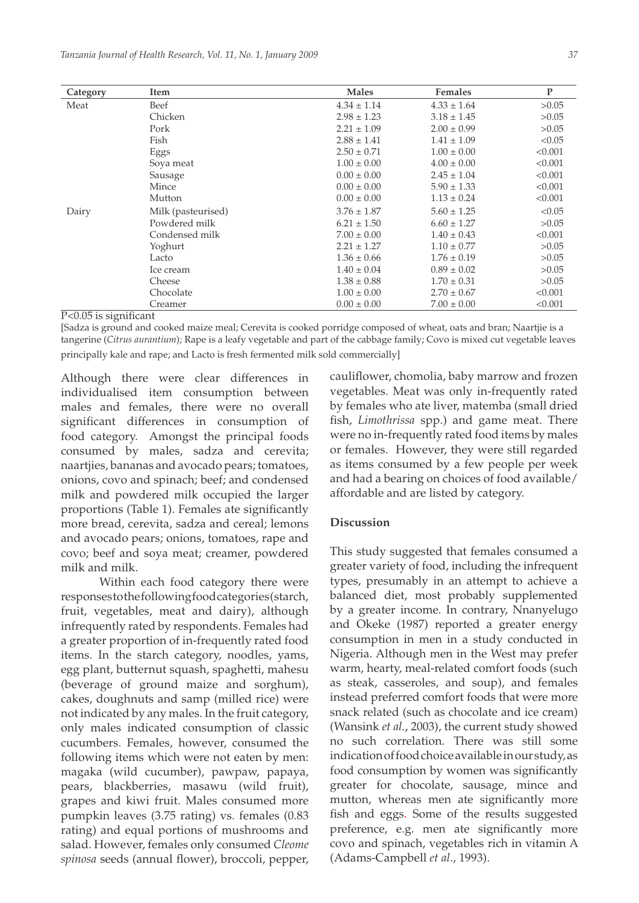| Category                                                                   | Item               | <b>Males</b>    | <b>Females</b>  | P       |
|----------------------------------------------------------------------------|--------------------|-----------------|-----------------|---------|
| Meat                                                                       | Beef               | $4.34 \pm 1.14$ | $4.33 \pm 1.64$ | >0.05   |
|                                                                            | Chicken            | $2.98 \pm 1.23$ | $3.18 \pm 1.45$ | >0.05   |
|                                                                            | Pork               | $2.21 \pm 1.09$ | $2.00 \pm 0.99$ | >0.05   |
|                                                                            | Fish               | $2.88 \pm 1.41$ | $1.41 \pm 1.09$ | < 0.05  |
|                                                                            | Eggs               | $2.50 \pm 0.71$ | $1.00 \pm 0.00$ | < 0.001 |
|                                                                            | Soya meat          | $1.00 \pm 0.00$ | $4.00 \pm 0.00$ | < 0.001 |
|                                                                            | Sausage            | $0.00 \pm 0.00$ | $2.45 \pm 1.04$ | < 0.001 |
|                                                                            | Mince              | $0.00 \pm 0.00$ | $5.90 \pm 1.33$ | < 0.001 |
|                                                                            | Mutton             | $0.00 \pm 0.00$ | $1.13 \pm 0.24$ | < 0.001 |
| Dairy                                                                      | Milk (pasteurised) | $3.76 \pm 1.87$ | $5.60 \pm 1.25$ | < 0.05  |
|                                                                            | Powdered milk      | $6.21 \pm 1.50$ | $6.60 \pm 1.27$ | >0.05   |
|                                                                            | Condensed milk     | $7.00 \pm 0.00$ | $1.40 \pm 0.43$ | < 0.001 |
|                                                                            | Yoghurt            | $2.21 \pm 1.27$ | $1.10 \pm 0.77$ | >0.05   |
|                                                                            | Lacto              | $1.36 \pm 0.66$ | $1.76 \pm 0.19$ | >0.05   |
|                                                                            | Ice cream          | $1.40 \pm 0.04$ | $0.89 \pm 0.02$ | >0.05   |
|                                                                            | Cheese             | $1.38 \pm 0.88$ | $1.70 \pm 0.31$ | >0.05   |
|                                                                            | Chocolate          | $1.00 \pm 0.00$ | $2.70 \pm 0.67$ | < 0.001 |
| $\mathbf{r}$ $\alpha$ $\alpha$ $\mathbf{r}$ $\mathbf{r}$<br>$\cdot$ $\sim$ | Creamer            | $0.00 \pm 0.00$ | $7.00 \pm 0.00$ | < 0.001 |

P<0.05 is significant

[Sadza is ground and cooked maize meal; Cerevita is cooked porridge composed of wheat, oats and bran; Naartjie is a tangerine (*Citrus aurantium*); Rape is a leafy vegetable and part of the cabbage family; Covo is mixed cut vegetable leaves principally kale and rape; and Lacto is fresh fermented milk sold commercially]

Although there were clear differences in individualised item consumption between males and females, there were no overall significant differences in consumption of food category. Amongst the principal foods consumed by males, sadza and cerevita; naartjies, bananas and avocado pears; tomatoes, onions, covo and spinach; beef; and condensed milk and powdered milk occupied the larger proportions (Table 1). Females ate significantly more bread, cerevita, sadza and cereal; lemons and avocado pears; onions, tomatoes, rape and covo; beef and soya meat; creamer, powdered milk and milk.

Within each food category there were responses to the following food categories (starch, fruit, vegetables, meat and dairy), although infrequently rated by respondents. Females had a greater proportion of in-frequently rated food items. In the starch category, noodles, yams, egg plant, butternut squash, spaghetti, mahesu (beverage of ground maize and sorghum), cakes, doughnuts and samp (milled rice) were not indicated by any males. In the fruit category, only males indicated consumption of classic cucumbers. Females, however, consumed the following items which were not eaten by men: magaka (wild cucumber), pawpaw, papaya, pears, blackberries, masawu (wild fruit), grapes and kiwi fruit. Males consumed more pumpkin leaves (3.75 rating) vs. females (0.83 rating) and equal portions of mushrooms and salad. However, females only consumed *Cleome spinosa* seeds (annual flower), broccoli, pepper, cauliflower, chomolia, baby marrow and frozen vegetables. Meat was only in-frequently rated by females who ate liver, matemba (small dried fish, *Limothrissa* spp.) and game meat. There were no in-frequently rated food items by males or females. However, they were still regarded as items consumed by a few people per week and had a bearing on choices of food available/ affordable and are listed by category.

## **Discussion**

This study suggested that females consumed a greater variety of food, including the infrequent types, presumably in an attempt to achieve a balanced diet, most probably supplemented by a greater income. In contrary, Nnanyelugo and Okeke (1987) reported a greater energy consumption in men in a study conducted in Nigeria. Although men in the West may prefer warm, hearty, meal-related comfort foods (such as steak, casseroles, and soup), and females instead preferred comfort foods that were more snack related (such as chocolate and ice cream) (Wansink *et al.*, 2003), the current study showed no such correlation. There was still some indication of food choice available in our study, as food consumption by women was significantly greater for chocolate, sausage, mince and mutton, whereas men ate significantly more fish and eggs. Some of the results suggested preference, e.g. men ate significantly more covo and spinach, vegetables rich in vitamin A (Adams-Campbell *et al*., 1993).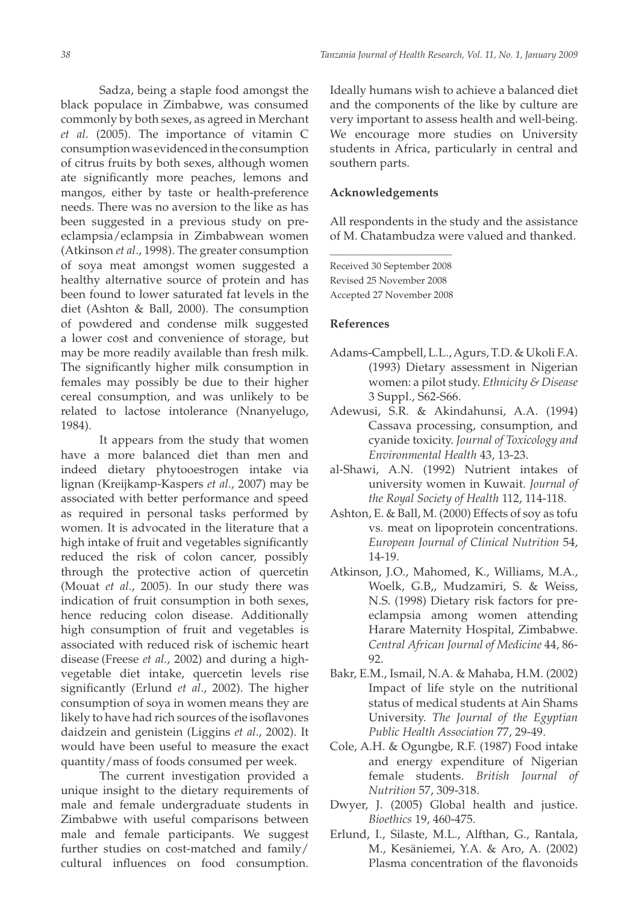Sadza, being a staple food amongst the black populace in Zimbabwe, was consumed commonly by both sexes, as agreed in Merchant *et al*. (2005). The importance of vitamin C consumption was evidenced in the consumption of citrus fruits by both sexes, although women ate significantly more peaches, lemons and mangos, either by taste or health-preference needs. There was no aversion to the like as has been suggested in a previous study on preeclampsia/eclampsia in Zimbabwean women (Atkinson *et al*., 1998). The greater consumption of soya meat amongst women suggested a healthy alternative source of protein and has been found to lower saturated fat levels in the diet (Ashton & Ball, 2000). The consumption of powdered and condense milk suggested a lower cost and convenience of storage, but may be more readily available than fresh milk. The significantly higher milk consumption in females may possibly be due to their higher cereal consumption, and was unlikely to be related to lactose intolerance (Nnanyelugo, 1984).

It appears from the study that women have a more balanced diet than men and indeed dietary phytooestrogen intake via lignan (Kreijkamp-Kaspers *et al*., 2007) may be associated with better performance and speed as required in personal tasks performed by women. It is advocated in the literature that a high intake of fruit and vegetables significantly reduced the risk of colon cancer, possibly through the protective action of quercetin (Mouat *et al.*, 2005). In our study there was indication of fruit consumption in both sexes, hence reducing colon disease. Additionally high consumption of fruit and vegetables is associated with reduced risk of ischemic heart disease (Freese *et al.*, 2002) and during a highvegetable diet intake, quercetin levels rise significantly (Erlund *et al*., 2002). The higher consumption of soya in women means they are likely to have had rich sources of the isoflavones daidzein and genistein (Liggins *et al*., 2002). It would have been useful to measure the exact quantity/mass of foods consumed per week.

The current investigation provided a unique insight to the dietary requirements of male and female undergraduate students in Zimbabwe with useful comparisons between male and female participants. We suggest further studies on cost-matched and family/ cultural influences on food consumption.

Ideally humans wish to achieve a balanced diet and the components of the like by culture are very important to assess health and well-being. We encourage more studies on University students in Africa, particularly in central and southern parts.

## **Acknowledgements**

All respondents in the study and the assistance of M. Chatambudza were valued and thanked.

Received 30 September 2008 Revised 25 November 2008 Accepted 27 November 2008

\_\_\_\_\_\_\_\_\_\_\_\_\_\_\_\_\_\_\_\_\_\_\_\_\_

## **References**

- Adams-Campbell, L.L., Agurs, T.D. & Ukoli F.A. (1993) Dietary assessment in Nigerian women: a pilot study. *Ethnicity & Disease* 3 Suppl., S62-S66.
- Adewusi, S.R. & Akindahunsi, A.A. (1994) Cassava processing, consumption, and cyanide toxicity. *Journal of Toxicology and Environmental Health* 43, 13-23.
- al-Shawi, A.N. (1992) Nutrient intakes of university women in Kuwait. *Journal of the Royal Society of Health* 112, 114-118.
- Ashton, E. & Ball, M. (2000) Effects of soy as tofu vs. meat on lipoprotein concentrations. *European Journal of Clinical Nutrition* 54, 14-19.
- Atkinson, J.O., Mahomed, K., Williams, M.A., Woelk, G.B,, Mudzamiri, S. & Weiss, N.S. (1998) Dietary risk factors for preeclampsia among women attending Harare Maternity Hospital, Zimbabwe. *Central African Journal of Medicine* 44, 86- 92.
- Bakr, E.M., Ismail, N.A. & Mahaba, H.M. (2002) Impact of life style on the nutritional status of medical students at Ain Shams University. *The Journal of the Egyptian Public Health Association* 77, 29-49.
- Cole, A.H. & Ogungbe, R.F. (1987) Food intake and energy expenditure of Nigerian female students. *British Journal of Nutrition* 57, 309-318.
- Dwyer, J. (2005) Global health and justice. *Bioethics* 19, 460-475.
- Erlund, I., Silaste, M.L., Alfthan, G., Rantala, M., Kesäniemei, Y.A. & Aro, A. (2002) Plasma concentration of the flavonoids